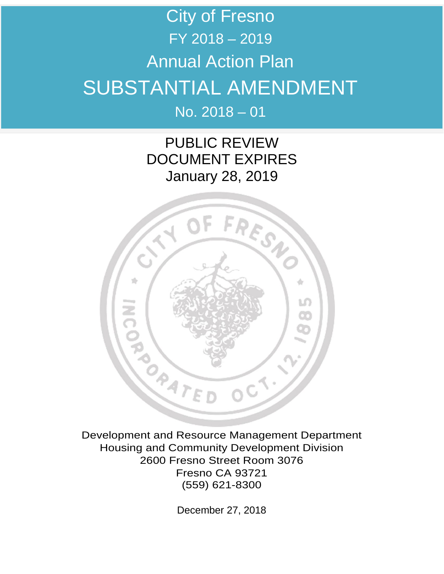# City of Fresno FY 2018 – 2019 Annual Action Plan SUBSTANTIAL AMENDMENT No. 2018 – 01

PUBLIC REVIEW DOCUMENT EXPIRES January 28, 2019



Development and Resource Management Department Housing and Community Development Division 2600 Fresno Street Room 3076 Fresno CA 93721 (559) 621-8300

December 27, 2018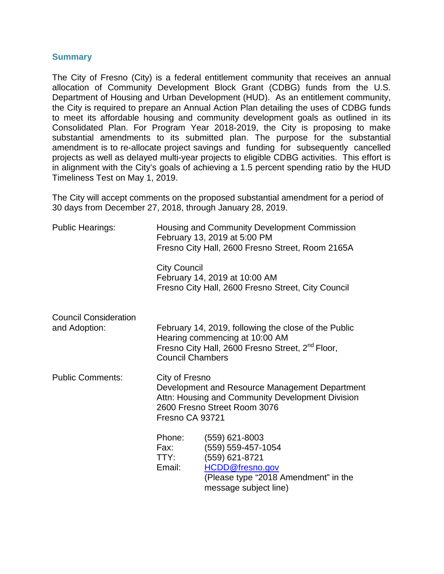#### **Summary**

The City of Fresno (City) is a federal entitlement community that receives an annual allocation of Community Development Block Grant (CDBG) funds from the U.S. Department of Housing and Urban Development (HUD). As an entitlement community, the City is required to prepare an Annual Action Plan detailing the uses of CDBG funds to meet its affordable housing and community development goals as outlined in its Consolidated Plan. For Program Year 2018-2019, the City is proposing to make substantial amendments to its submitted plan. The purpose for the substantial amendment is to re-allocate project savings and funding for subsequently cancelled projects as well as delayed multi-year projects to eligible CDBG activities. This effort is in alignment with the City's goals of achieving a 1.5 percent spending ratio by the HUD Timeliness Test on May 1, 2019.

The City will accept comments on the proposed substantial amendment for a period of 30 days from December 27, 2018, through January 28, 2019.

| <b>Public Hearings:</b>                                      | Housing and Community Development Commission<br>February 13, 2019 at 5:00 PM<br>Fresno City Hall, 2600 Fresno Street, Room 2165A                                                  |                                                                                                                                            |  |  |
|--------------------------------------------------------------|-----------------------------------------------------------------------------------------------------------------------------------------------------------------------------------|--------------------------------------------------------------------------------------------------------------------------------------------|--|--|
|                                                              | <b>City Council</b>                                                                                                                                                               | February 14, 2019 at 10:00 AM<br>Fresno City Hall, 2600 Fresno Street, City Council                                                        |  |  |
| <b>Council Consideration</b><br>and Adoption:                | February 14, 2019, following the close of the Public<br>Hearing commencing at 10:00 AM<br>Fresno City Hall, 2600 Fresno Street, 2 <sup>nd</sup> Floor,<br><b>Council Chambers</b> |                                                                                                                                            |  |  |
| <b>Public Comments:</b><br>City of Fresno<br>Fresno CA 93721 |                                                                                                                                                                                   | Development and Resource Management Department<br>Attn: Housing and Community Development Division<br>2600 Fresno Street Room 3076         |  |  |
|                                                              | Phone:<br>Fax:<br>TTY:<br>Email:                                                                                                                                                  | (559) 621-8003<br>(559) 559-457-1054<br>(559) 621-8721<br>HCDD@fresno.gov<br>(Please type "2018 Amendment" in the<br>message subject line) |  |  |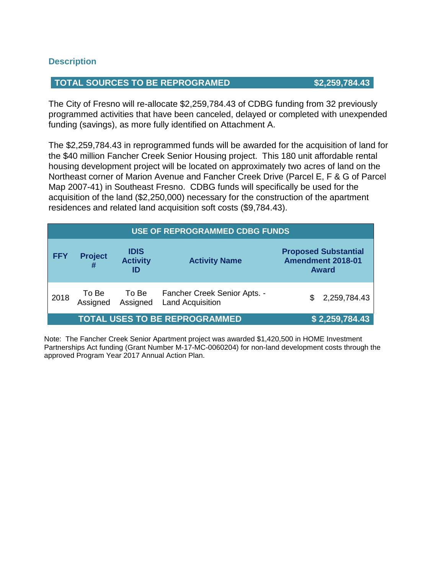#### **Description**

#### **TOTAL SOURCES TO BE REPROGRAMED \$2,259,784.43**

The City of Fresno will re-allocate \$2,259,784.43 of CDBG funding from 32 previously programmed activities that have been canceled, delayed or completed with unexpended funding (savings), as more fully identified on Attachment A.

The \$2,259,784.43 in reprogrammed funds will be awarded for the acquisition of land for the \$40 million Fancher Creek Senior Housing project. This 180 unit affordable rental housing development project will be located on approximately two acres of land on the Northeast corner of Marion Avenue and Fancher Creek Drive (Parcel E, F & G of Parcel Map 2007-41) in Southeast Fresno. CDBG funds will specifically be used for the acquisition of the land (\$2,250,000) necessary for the construction of the apartment residences and related land acquisition soft costs (\$9,784.43).

| USE OF REPROGRAMMED CDBG FUNDS |                                      |                                      |                                                         |                                                                  |  |  |  |
|--------------------------------|--------------------------------------|--------------------------------------|---------------------------------------------------------|------------------------------------------------------------------|--|--|--|
| <b>FFY</b>                     | <b>Project</b><br>#                  | <b>IDIS</b><br><b>Activity</b><br>ID | <b>Activity Name</b>                                    | <b>Proposed Substantial</b><br>Amendment 2018-01<br><b>Award</b> |  |  |  |
| 2018                           | To Be<br>Assigned                    | To Be<br>Assigned                    | Fancher Creek Senior Apts. -<br><b>Land Acquisition</b> | 2,259,784.43<br>\$.                                              |  |  |  |
|                                | <b>TOTAL USES TO BE REPROGRAMMED</b> | \$2,259,784.43                       |                                                         |                                                                  |  |  |  |

Note: The Fancher Creek Senior Apartment project was awarded \$1,420,500 in HOME Investment Partnerships Act funding (Grant Number M-17-MC-0060204) for non-land development costs through the approved Program Year 2017 Annual Action Plan.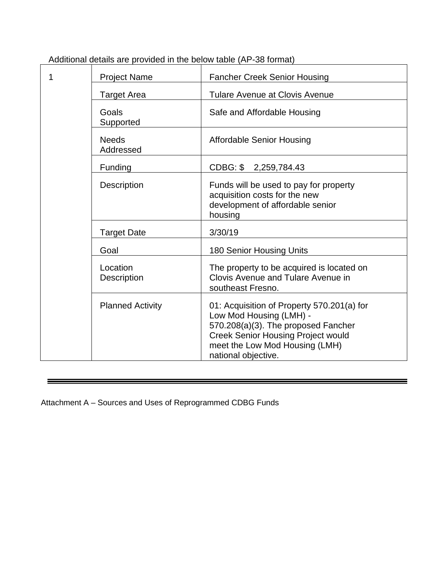| <b>Project Name</b>            | <b>Fancher Creek Senior Housing</b>                                                                                                                                                                                |
|--------------------------------|--------------------------------------------------------------------------------------------------------------------------------------------------------------------------------------------------------------------|
| <b>Target Area</b>             | <b>Tulare Avenue at Clovis Avenue</b>                                                                                                                                                                              |
| Goals<br>Supported             | Safe and Affordable Housing                                                                                                                                                                                        |
| <b>Needs</b><br>Addressed      | <b>Affordable Senior Housing</b>                                                                                                                                                                                   |
| Funding                        | CDBG: \$2,259,784.43                                                                                                                                                                                               |
| <b>Description</b>             | Funds will be used to pay for property<br>acquisition costs for the new<br>development of affordable senior<br>housing                                                                                             |
| <b>Target Date</b>             | 3/30/19                                                                                                                                                                                                            |
| Goal                           | 180 Senior Housing Units                                                                                                                                                                                           |
| Location<br><b>Description</b> | The property to be acquired is located on<br>Clovis Avenue and Tulare Avenue in<br>southeast Fresno.                                                                                                               |
| <b>Planned Activity</b>        | 01: Acquisition of Property 570.201(a) for<br>Low Mod Housing (LMH) -<br>570.208(a)(3). The proposed Fancher<br><b>Creek Senior Housing Project would</b><br>meet the Low Mod Housing (LMH)<br>national objective. |

Additional details are provided in the below table (AP-38 format)

Attachment A – Sources and Uses of Reprogrammed CDBG Funds

Ξ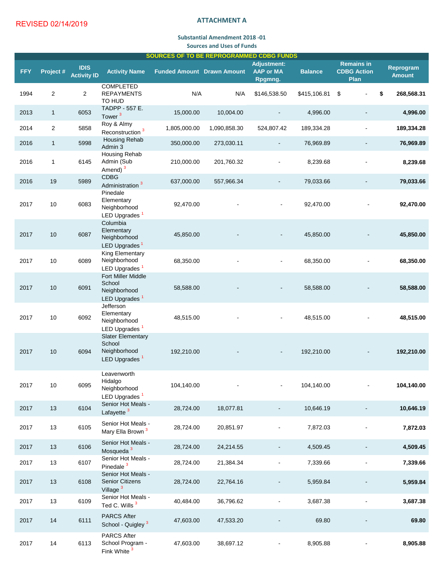#### **ATTACHMENT A**

### **Substantial Amendment 2018 -01 Sources and Uses of Funds**

| <b>SOURCES OF TO BE REPROGRAMMED CDBG FUNDS</b> |                |                                   |                                                                                  |                                   |              |                                                   |                |                                                 |                                   |
|-------------------------------------------------|----------------|-----------------------------------|----------------------------------------------------------------------------------|-----------------------------------|--------------|---------------------------------------------------|----------------|-------------------------------------------------|-----------------------------------|
| <b>FFY</b>                                      | Project #      | <b>IDIS</b><br><b>Activity ID</b> | <b>Activity Name</b>                                                             | <b>Funded Amount Drawn Amount</b> |              | <b>Adjustment:</b><br><b>AAP or MA</b><br>Rpgmng. | <b>Balance</b> | <b>Remains in</b><br><b>CDBG Action</b><br>Plan | <b>Reprogram</b><br><b>Amount</b> |
| 1994                                            | $\overline{2}$ | $\overline{2}$                    | <b>COMPLETED</b><br><b>REPAYMENTS</b><br><b>TO HUD</b>                           | N/A                               | N/A          | \$146,538.50                                      | \$415,106.81   | \$                                              | \$<br>268,568.31                  |
| 2013                                            | $\mathbf{1}$   | 6053                              | <b>TADPP - 557 E.</b><br>Tower <sup>3</sup>                                      | 15,000.00                         | 10,004.00    |                                                   | 4,996.00       |                                                 | 4,996.00                          |
| 2014                                            | $\overline{2}$ | 5858                              | Roy & Almy<br>Reconstruction <sup>3</sup>                                        | 1,805,000.00                      | 1,090,858.30 | 524,807.42                                        | 189,334.28     | $\overline{\phantom{a}}$                        | 189,334.28                        |
| 2016                                            | $\mathbf{1}$   | 5998                              | <b>Housing Rehab</b><br>Admin 3                                                  | 350,000.00                        | 273,030.11   | $\blacksquare$                                    | 76,969.89      |                                                 | 76,969.89                         |
| 2016                                            | 1              | 6145                              | <b>Housing Rehab</b><br>Admin (Sub<br>Amend) <sup>3</sup>                        | 210,000.00                        | 201,760.32   |                                                   | 8,239.68       |                                                 | 8,239.68                          |
| 2016                                            | 19             | 5989                              | <b>CDBG</b><br>Administration <sup>3</sup>                                       | 637,000.00                        | 557,966.34   |                                                   | 79,033.66      |                                                 | 79,033.66                         |
| 2017                                            | 10             | 6083                              | Pinedale<br>Elementary<br>Neighborhood<br>LED Upgrades <sup>1</sup>              | 92,470.00                         |              | $\blacksquare$                                    | 92,470.00      |                                                 | 92,470.00                         |
| 2017                                            | 10             | 6087                              | Columbia<br>Elementary<br>Neighborhood<br>LED Upgrades <sup>1</sup>              | 45,850.00                         |              |                                                   | 45,850.00      |                                                 | 45,850.00                         |
| 2017                                            | 10             | 6089                              | <b>King Elementary</b><br>Neighborhood<br>LED Upgrades <sup>1</sup>              | 68,350.00                         |              | $\overline{\phantom{a}}$                          | 68,350.00      |                                                 | 68,350.00                         |
| 2017                                            | 10             | 6091                              | <b>Fort Miller Middle</b><br>School<br>Neighborhood<br>LED Upgrades <sup>1</sup> | 58,588.00                         |              |                                                   | 58,588.00      |                                                 | 58,588.00                         |
| 2017                                            | 10             | 6092                              | Jefferson<br>Elementary<br>Neighborhood<br>LED Upgrades <sup>1</sup>             | 48,515.00                         |              | $\overline{\phantom{a}}$                          | 48,515.00      |                                                 | 48,515.00                         |
| 2017                                            | 10             | 6094                              | <b>Slater Elementary</b><br>School<br>Neighborhood<br>LED Upgrades <sup>1</sup>  | 192,210.00                        |              | $\overline{\phantom{a}}$                          | 192,210.00     |                                                 | 192,210.00                        |
| 2017                                            | 10             | 6095                              | Leavenworth<br>Hidalgo<br>Neighborhood<br>LED Upgrades <sup>1</sup>              | 104,140.00                        |              | $\overline{\phantom{a}}$                          | 104,140.00     |                                                 | 104,140.00                        |
| 2017                                            | 13             | 6104                              | Senior Hot Meals -<br>Lafayette <sup>3</sup>                                     | 28,724.00                         | 18,077.81    |                                                   | 10,646.19      |                                                 | 10,646.19                         |
| 2017                                            | 13             | 6105                              | Senior Hot Meals -<br>Mary Ella Brown <sup>3</sup>                               | 28,724.00                         | 20,851.97    |                                                   | 7,872.03       |                                                 | 7,872.03                          |
| 2017                                            | 13             | 6106                              | Senior Hot Meals -<br>Mosqueda <sup>3</sup>                                      | 28,724.00                         | 24,214.55    |                                                   | 4,509.45       |                                                 | 4,509.45                          |
| 2017                                            | 13             | 6107                              | Senior Hot Meals -<br>Pinedale <sup>3</sup>                                      | 28,724.00                         | 21,384.34    |                                                   | 7,339.66       |                                                 | 7,339.66                          |
| 2017                                            | 13             | 6108                              | Senior Hot Meals -<br><b>Senior Citizens</b><br>Village <sup>3</sup>             | 28,724.00                         | 22,764.16    |                                                   | 5,959.84       |                                                 | 5,959.84                          |
| 2017                                            | 13             | 6109                              | Senior Hot Meals -<br>Ted C. Wills <sup>3</sup>                                  | 40,484.00                         | 36,796.62    |                                                   | 3,687.38       | $\overline{\phantom{a}}$                        | 3,687.38                          |
| 2017                                            | 14             | 6111                              | <b>PARCS After</b><br>School - Quigley <sup>3</sup>                              | 47,603.00                         | 47,533.20    |                                                   | 69.80          |                                                 | 69.80                             |
| 2017                                            | 14             | 6113                              | <b>PARCS After</b><br>School Program -<br>Fink White <sup>3</sup>                | 47,603.00                         | 38,697.12    |                                                   | 8,905.88       |                                                 | 8,905.88                          |